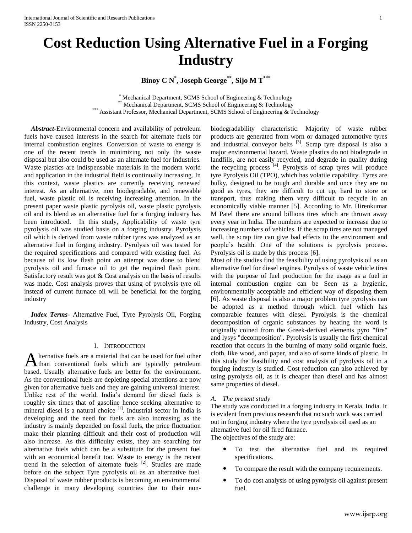# **Cost Reduction Using Alternative Fuel in a Forging Industry**

**Binoy C N\* , Joseph George\*\* , Sijo M T\*\*\***

\* Mechanical Department, SCMS School of Engineering & Technology Mechanical Department, SCMS School of Engineering & Technology \*\*\* Assistant Professor, Mechanical Department, SCMS School of Engineering & Technology

 *Abstract***-**Environmental concern and availability of petroleum fuels have caused interests in the search for alternate fuels for internal combustion engines. Conversion of waste to energy is one of the recent trends in minimizing not only the waste disposal but also could be used as an alternate fuel for Industries. Waste plastics are indispensable materials in the modern world and application in the industrial field is continually increasing. In this context, waste plastics are currently receiving renewed interest. As an alternative, non biodegradable, and renewable fuel, waste plastic oil is receiving increasing attention. In the present paper waste plastic pyrolysis oil, waste plastic pyrolysis oil and its blend as an alternative fuel for a forging industry has been introduced. In this study, Applicability of waste tyre pyrolysis oil was studied basis on a forging industry. Pyrolysis oil which is derived from waste rubber tyres was analyzed as an alternative fuel in forging industry. Pyrolysis oil was tested for the required specifications and compared with existing fuel. As because of its low flash point an attempt was done to blend pyrolysis oil and furnace oil to get the required flash point. Satisfactory result was got & Cost analysis on the basis of results was made. Cost analysis proves that using of pyrolysis tyre oil instead of current furnace oil will be beneficial for the forging industry

 *Index Terms*- Alternative Fuel, Tyre Pyrolysis Oil, Forging Industry, Cost Analysis

#### I. INTRODUCTION

lternative fuels are a material that can be used for fuel other Alternative fuels are a material that can be used for fuel other<br>than conventional fuels which are typically petroleum based. Usually alternative fuels are better for the environment. As the conventional fuels are depleting special attentions are now given for alternative fuels and they are gaining universal interest. Unlike rest of the world, India's demand for diesel fuels is roughly six times that of gasoline hence seeking alternative to mineral diesel is a natural choice <sup>[1]</sup>. Industrial sector in India is developing and the need for fuels are also increasing as the industry is mainly depended on fossil fuels, the price fluctuation make their planning difficult and their cost of production will also increase. As this difficulty exists, they are searching for alternative fuels which can be a substitute for the present fuel with an economical benefit too. Waste to energy is the recent trend in the selection of alternate fuels  $[2]$ . Studies are made before on the subject Tyre pyrolysis oil as an alternative fuel. Disposal of waste rubber products is becoming an environmental challenge in many developing countries due to their nonbiodegradability characteristic. Majority of waste rubber products are generated from worn or damaged automotive tyres and industrial conveyor belts  $[3]$ . Scrap tyre disposal is also a major environmental hazard. Waste plastics do not biodegrade in landfills, are not easily recycled, and degrade in quality during the recycling process  $^{[4]}$ . Pyrolysis of scrap tyres will produce tyre Pyrolysis Oil (TPO), which has volatile capability. Tyres are bulky, designed to be tough and durable and once they are no good as tyres, they are difficult to cut up, hard to store or transport, thus making them very difficult to recycle in an economically viable manner [5]. According to Mr. Hirenkumar M Patel there are around billions tires which are thrown away every year in India. The numbers are expected to increase due to increasing numbers of vehicles. If the scrap tires are not managed well, the scrap tire can give bad effects to the environment and people's health. One of the solutions is pyrolysis process. Pyrolysis oil is made by this process [6].

Most of the studies find the feasibility of using pyrolysis oil as an alternative fuel for diesel engines. Pyrolysis of waste vehicle tires with the purpose of fuel production for the usage as a fuel in internal combustion engine can be Seen as a hygienic, environmentally acceptable and efficient way of disposing them [6]. As waste disposal is also a major problem tyre pyrolysis can be adopted as a method through which fuel which has comparable features with diesel. Pyrolysis is the chemical decomposition of organic substances by heating the word is originally coined from the Greek-derived elements pyro "fire" and lysys "decomposition". Pyrolysis is usually the first chemical reaction that occurs in the burning of many solid organic fuels, cloth, like wood, and paper, and also of some kinds of plastic. In this study the feasibility and cost analysis of pyrolysis oil in a forging industry is studied. Cost reduction can also achieved by using pyrolysis oil, as it is cheaper than diesel and has almost same properties of diesel.

#### *A. The present study*

The study was conducted in a forging industry in Kerala, India. It is evident from previous research that no such work was carried out in forging industry where the tyre pyrolysis oil used as an alternative fuel for oil fired furnace.

The objectives of the study are:

- To test the alternative fuel and its required specifications.
- To compare the result with the company requirements.
- To do cost analysis of using pyrolysis oil against present fuel.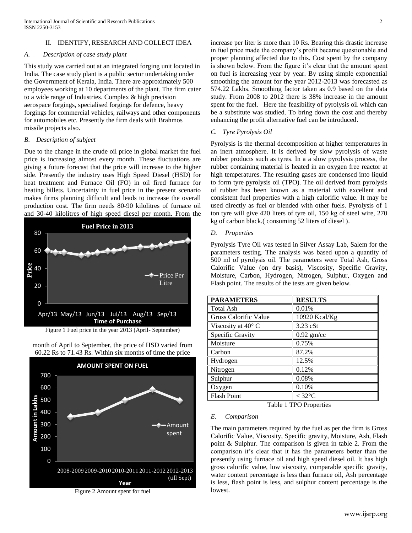## II. IDENTIFY, RESEARCH AND COLLECT IDEA

#### *A. Description of case study plant*

This study was carried out at an integrated forging unit located in India. The case study plant is a public sector undertaking under the Government of Kerala, India. There are approximately 500 employees working at 10 departments of the plant. The firm cater to a wide range of Industries. Complex & high precision aerospace forgings, specialised forgings for defence, heavy forgings for commercial vehicles, railways and other components for automobiles etc. Presently the firm deals with Brahmos missile projects also.

### *B. Description of subject*

Due to the change in the crude oil price in global market the fuel price is increasing almost every month. These fluctuations are giving a future forecast that the price will increase to the higher side. Presently the industry uses High Speed Diesel (HSD) for heat treatment and Furnace Oil (FO) in oil fired furnace for heating billets. Uncertainty in fuel price in the present scenario makes firms planning difficult and leads to increase the overall production cost. The firm needs 80-90 kilolitres of furnace oil and 30-40 kilolitres of high speed diesel per month. From the



Figure 1 Fuel price in the year 2013 (April- September)





Figure 2 Amount spent for fuel

increase per liter is more than 10 Rs. Bearing this drastic increase in fuel price made the company's profit became questionable and proper planning affected due to this. Cost spent by the company is shown below. From the figure it's clear that the amount spent on fuel is increasing year by year. By using simple exponential smoothing the amount for the year 2012-2013 was forecasted as 574.22 Lakhs. Smoothing factor taken as 0.9 based on the data study. From 2008 to 2012 there is 38% increase in the amount spent for the fuel. Here the feasibility of pyrolysis oil which can be a substitute was studied. To bring down the cost and thereby enhancing the profit alternative fuel can be introduced.

# *C. Tyre Pyrolysis Oil*

Pyrolysis is the thermal decomposition at higher temperatures in an inert atmosphere. It is derived by slow pyrolysis of waste rubber products such as tyres. In a a slow pyrolysis process, the rubber containing material is heated in an oxygen free reactor at high temperatures. The resulting gases are condensed into liquid to form tyre pyrolysis oil (TPO). The oil derived from pyrolysis of rubber has been known as a material with excellent and consistent fuel properties with a high calorific value. It may be used directly as fuel or blended with other fuels. Pyrolysis of 1 ton tyre will give 420 liters of tyre oil, 150 kg of steel wire, 270 kg of carbon black.( consuming 52 liters of diesel ).

## *D. Properties*

Pyrolysis Tyre Oil was tested in Silver Assay Lab, Salem for the parameters testing. The analysis was based upon a quantity of 500 ml of pyrolysis oil. The parameters were Total Ash, Gross Calorific Value (on dry basis), Viscosity, Specific Gravity, Moisture, Carbon, Hydrogen, Nitrogen, Sulphur, Oxygen and Flash point. The results of the tests are given below.

| <b>PARAMETERS</b>           | <b>RESULTS</b>      |
|-----------------------------|---------------------|
| <b>Total Ash</b>            | 0.01%               |
| Gross Calorific Value       | 10920 Kcal/Kg       |
| Viscosity at $40^{\circ}$ C | 3.23 cSt            |
| Specific Gravity            | $0.92$ gm/cc        |
| Moisture                    | 0.75%               |
| Carbon                      | 87.2%               |
| Hydrogen                    | 12.5%               |
| Nitrogen                    | 0.12%               |
| Sulphur                     | 0.08%               |
| Oxygen                      | 0.10%               |
| <b>Flash Point</b>          | $<$ 32 $^{\circ}$ C |

Table 1 TPO Properties

## *E. Comparison*

The main parameters required by the fuel as per the firm is Gross Calorific Value, Viscosity, Specific gravity, Moisture, Ash, Flash point & Sulphur. The comparison is given in table 2. From the comparison it's clear that it has the parameters better than the presently using furnace oil and high speed diesel oil. It has high gross calorific value, low viscosity, comparable specific gravity, water content percentage is less than furnace oil, Ash percentage is less, flash point is less, and sulphur content percentage is the lowest.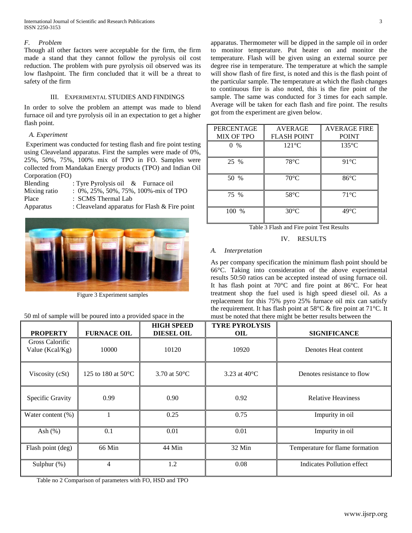## *F. Problem*

Though all other factors were acceptable for the firm, the firm made a stand that they cannot follow the pyrolysis oil cost reduction. The problem with pure pyrolysis oil observed was its low flashpoint. The firm concluded that it will be a threat to safety of the firm

## III. EXPERIMENTAL STUDIES AND FINDINGS

In order to solve the problem an attempt was made to blend furnace oil and tyre pyrolysis oil in an expectation to get a higher flash point.

## *A. Experiment*

Experiment was conducted for testing flash and fire point testing using Cleaveland apparatus. First the samples were made of 0%, 25%, 50%, 75%, 100% mix of TPO in FO. Samples were collected from Mandakan Energy products (TPO) and Indian Oil Corporation (FO)

| Blending     | : Tyre Pyrolysis oil & Furnace oil            |
|--------------|-----------------------------------------------|
| Mixing ratio | $: 0\%$ , 25%, 50%, 75%, 100%-mix of TPO      |
| Place        | : SCMS Thermal Lab                            |
| Apparatus    | : Cleaveland apparatus for Flash & Fire point |



Figure 3 Experiment samples

50 ml of sample will be poured into a provided space in the

apparatus. Thermometer will be dipped in the sample oil in order to monitor temperature. Put heater on and monitor the temperature. Flash will be given using an external source per degree rise in temperature. The temperature at which the sample will show flash of fire first, is noted and this is the flash point of the particular sample. The temperature at which the flash changes to continuous fire is also noted, this is the fire point of the sample. The same was conducted for 3 times for each sample. Average will be taken for each flash and fire point. The results got from the experiment are given below.

| <b>PERCENTAGE</b><br><b>MIX OF TPO</b> | <b>AVERAGE</b><br><b>FLASH POINT</b> | <b>AVERAGE FIRE</b><br><b>POINT</b> |
|----------------------------------------|--------------------------------------|-------------------------------------|
| $0 \frac{9}{6}$                        | $121^{\circ}$ C                      | $135^{\circ}$ C                     |
| 25 %                                   | $78^{\circ}$ C                       | $91^{\circ}$ C                      |
| 50 %                                   | $70^{\circ}$ C                       | $86^{\circ}$ C                      |
| 75 %                                   | $58^{\circ}$ C                       | $71^{\circ}$ C                      |
| 100 %                                  | $30^{\circ}$ C                       | $49^{\circ}$ C                      |



IV. RESULTS

## *A. Interpretation*

As per company specification the minimum flash point should be 66°C. Taking into consideration of the above experimental results 50:50 ratios can be accepted instead of using furnace oil. It has flash point at 70°C and fire point at 86°C. For heat treatment shop the fuel used is high speed diesel oil. As a replacement for this 75% pyro 25% furnace oil mix can satisfy the requirement. It has flash point at 58°C & fire point at 71°C. It must be noted that there might be better results between the

| <b>PROPERTY</b>                    | <b>FURNACE OIL</b>           | <b>HIGH SPEED</b><br><b>DIESEL OIL</b> | <b>TYRE PYROLYSIS</b><br><b>OIL</b> | <b>SIGNIFICANCE</b>             |
|------------------------------------|------------------------------|----------------------------------------|-------------------------------------|---------------------------------|
| Gross Calorific<br>Value (Kcal/Kg) | 10000                        | 10120                                  | 10920                               | Denotes Heat content            |
| Viscosity (cSt)                    | 125 to 180 at $50^{\circ}$ C | 3.70 at $50^{\circ}$ C                 | 3.23 at $40^{\circ}$ C              | Denotes resistance to flow      |
| Specific Gravity                   | 0.99                         | 0.90                                   | 0.92                                | <b>Relative Heaviness</b>       |
| Water content $(\%)$               |                              | 0.25                                   | 0.75                                | Impurity in oil                 |
| Ash $(\%)$                         | 0.1                          | 0.01                                   | 0.01                                | Impurity in oil                 |
| Flash point (deg)                  | 66 Min                       | 44 Min                                 | $32$ Min                            | Temperature for flame formation |
| Sulphur (%)                        | 4                            | 1.2                                    | 0.08                                | Indicates Pollution effect      |

Table no 2 Comparison of parameters with FO, HSD and TPO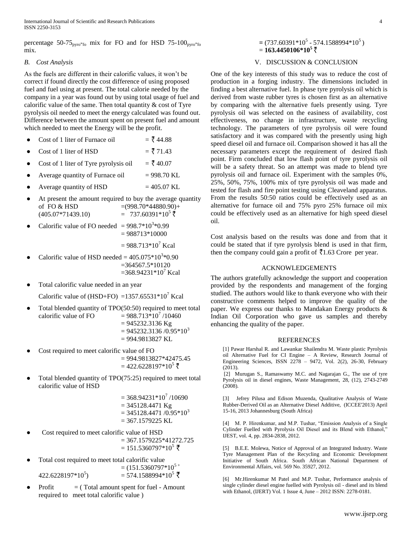percentage 50-75<sub>pyro-fo</sub> mix for FO and for HSD 75-100<sub>pyro-fo</sub> mix.

### *B. Cost Analysis*

As the fuels are different in their calorific values, it won't be correct if found directly the cost difference of using proposed fuel and fuel using at present. The total calorie needed by the company in a year was found out by using total usage of fuel and calorific value of the same. Then total quantity  $\&$  cost of Tyre pyrolysis oil needed to meet the energy calculated was found out. Difference between the amount spent on present fuel and amount which needed to meet the Energy will be the profit.

- Cost of 1 liter of Furnace oil  $=$   $\frac{3}{5}$  44.88
- Cost of 1 liter of HSD  $=$   $\frac{3}{5}$  71.43
- Cost of 1 liter of Tyre pyrolysis oil  $=$   $\frac{1}{5}$  40.07
- Average quantity of Furnace oil  $= 998.70 \text{ KL}$
- Average quantity of HSD  $= 405.07$  KL
- At present the amount required to buy the average quantity of FO & HSD  $=(998.70*44880.90)+$  $(405.07*71439.10)$  = 737.60391\*10<sup>5</sup>  $\bar{5}$
- Calorific value of FO needed  $= 998.7 * 10^{3} * 0.99$  $= 988713*10000$

 $= 988.713*10^7$  Kcal

- Calorific value of HSD needed =  $405.075*10^{3}*0.90$  $=364567.5*10120$  $=368.94231*10^7$  Kcal
- Total calorific value needed in an year

Calorific value of (HSD+FO) =1357.65531\*10<sup>7</sup> Kcal

- Total blended quantity of  $TPO(50:50)$  required to meet total calorific value of FO  $= 988.713 \times 10^7 / 10460$  $= 945232.3136$  Kg
	- $= 945232.3136 / 0.95*10<sup>3</sup>$ = 994.9813827 KL
- Cost required to meet calorific value of FO = 994.9813827\*42475.45  $= 422.6228197*10^{5}$  ₹
- Total blended quantity of  $TPO(75:25)$  required to meet total calorific value of HSD

 $= 368.94231*10<sup>7</sup> /10690$  $= 345128.4471$  Kg  $= 345128.4471 / 0.95*10<sup>3</sup>$  $= 367.1579225$  KL

- Cost required to meet calorific value of HSD  $= 367.1579225*41272.725$  $= 151.5360797*10^{5}$  ₹
- Total cost required to meet total calorific value  $= (151.5360797*10^{5+}$  $422.6228197*10^5$  $=$  574.1588994\*10<sup>5</sup> ₹
- Profit  $=$  (Total amount spent for fuel Amount required to meet total calorific value )

# $= (737.60391*10<sup>5</sup> - 574.1588994*10<sup>5</sup>)$  $= 163.4450106*10^5$

# V. DISCUSSION & CONCLUSION

One of the key interests of this study was to reduce the cost of production in a forging industry. The dimensions included in finding a best alternative fuel. In phase tyre pyrolysis oil which is derived from waste rubber tyres is chosen first as an alternative by comparing with the alternative fuels presently using. Tyre pyrolysis oil was selected on the easiness of availability, cost effectiveness, no change in infrastructure, waste recycling technology. The parameters of tyre pyrolysis oil were found satisfactory and it was compared with the presently using high speed diesel oil and furnace oil. Comparison showed it has all the necessary parameters except the requirement of desired flash point. Firm concluded that low flash point of tyre pyrolysis oil will be a safety threat. So an attempt was made to blend tyre pyrolysis oil and furnace oil. Experiment with the samples 0%, 25%, 50%, 75%, 100% mix of tyre pyrolysis oil was made and tested for flash and fire point testing using Cleaveland apparatus. From the results 50:50 ratios could be effectively used as an alternative for furnace oil and 75% pyro 25% furnace oil mix could be effectively used as an alternative for high speed diesel oil.

Cost analysis based on the results was done and from that it could be stated that if tyre pyrolysis blend is used in that firm, then the company could gain a profit of  $\bar{z}$ 1.63 Crore per year.

### ACKNOWLEDGEMENTS

The authors gratefully acknowledge the support and cooperation provided by the respondents and management of the forging studied. The authors would like to thank everyone who with their constructive comments helped to improve the quality of the paper. We express our thanks to Mandakan Energy products & Indian Oil Corporation who gave us samples and thereby enhancing the quality of the paper.

#### REFERENCES

[1] Pawar Harshal R. and Lawankar Shailendra M. Waste plastic Pyrolysis oil Alternative Fuel for CI Engine – A Review, Research Journal of Engineering Sciences, ISSN 2278 – 9472, Vol. 2(2), 26-30, February (2013).

[2] Murugan S., Ramaswamy M.C. and Nagarajan G., The use of tyre Pyrolysis oil in diesel engines, Waste Management, 28, (12), 2743-2749 (2008).

[3] Jefrey Pilusa and Edison Muzenda, Qualitative Analysis of Waste Rubber-Derived Oil as an Alternative Diesel Additive, (ICCEE'2013) April 15-16, 2013 Johannesburg (South Africa)

[4] M. P. Hirenkumar, and M.P. Tushar, "Emission Analysis of a Single Cylinder Fuelled with Pyrolysis Oil Diesel and its Blend with Ethanol," IJEST, vol. 4, pp. 2834-2838, 2012.

[5] B.E.E. Molewa, Notice of Approval of an Integrated Industry. Waste Tyre Management Plan of the Recycling and Economic Development Initiative of South Africa. South African National Department of Environmental Affairs, vol. 569 No. 35927, 2012.

[6] Mr.Hirenkumar M Patel and M.P. Tushar, Performance analysis of single cylinder diesel engine fuelled with Pyrolysis oil - diesel and its blend with Ethanol, (IJERT) Vol. 1 Issue 4, June – 2012 ISSN: 2278-0181.